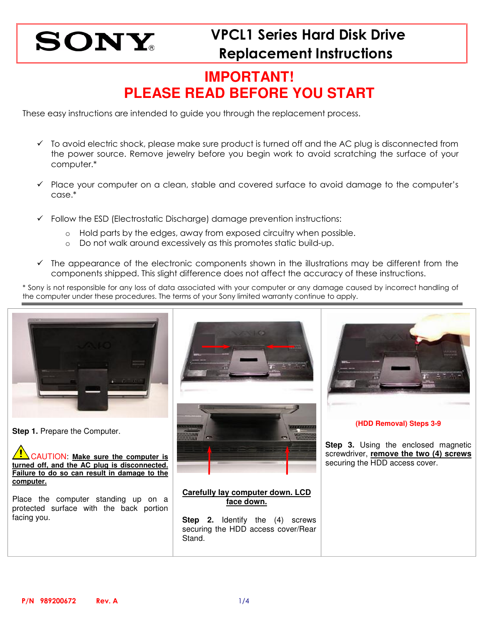### **IMPORTANT! PLEASE READ BEFORE YOU START**

These easy instructions are intended to guide you through the replacement process.

- $\checkmark$  To avoid electric shock, please make sure product is turned off and the AC plug is disconnected from the power source. Remove jewelry before you begin work to avoid scratching the surface of your computer.\*
- $\checkmark$  Place your computer on a clean, stable and covered surface to avoid damage to the computer's case.\*
- $\checkmark$  Follow the ESD (Electrostatic Discharge) damage prevention instructions:
	- $\circ$  Hold parts by the edges, away from exposed circuitry when possible.
	- o Do not walk around excessively as this promotes static build-up.
- $\checkmark$  The appearance of the electronic components shown in the illustrations may be different from the components shipped. This slight difference does not affect the accuracy of these instructions.

\* Sony is not responsible for any loss of data associated with your computer or any damage caused by incorrect handling of the computer under these procedures. The terms of your Sony limited warranty continue to apply.



**Step 1. Prepare the Computer.** 

CAUTION: **Make sure the computer is turned off, and the AC plug is disconnected. Failure to do so can result in damage to the computer.**

Place the computer standing up on a protected surface with the back portion facing you.





**(HDD Removal) Steps 3-9** 

**Step 3.** Using the enclosed magnetic screwdriver, **remove the two (4) screws** securing the HDD access cover.

### **Carefully lay computer down. LCD face down.**

**Step 2.** Identify the (4) screws securing the HDD access cover/Rear Stand.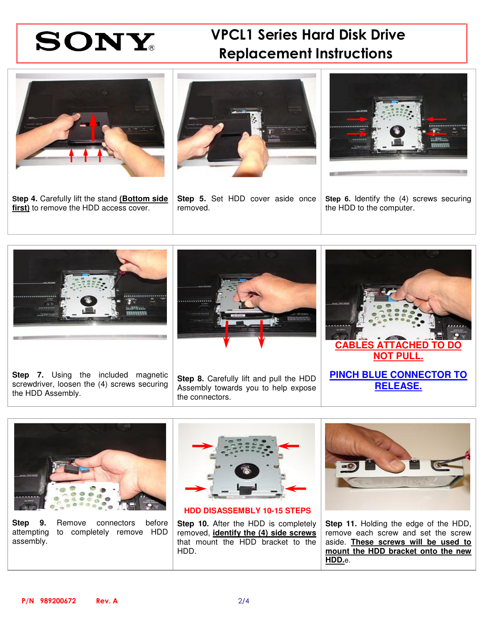# VPCL1 Series Hard Disk Drive Replacement Instructions



**Step 4.** Carefully lift the stand **(Bottom side first)** to remove the HDD access cover.



**Step 5.** Set HDD cover aside once removed.



**Step 6.** Identify the (4) screws securing the HDD to the computer.



**Step 7.** Using the included magnetic screwdriver, loosen the (4) screws securing the HDD Assembly.



**Step 8.** Carefully lift and pull the HDD Assembly towards you to help expose the connectors.





**Step 9.** Remove connectors before attempting to completely remove HDD assembly.



**HDD DISASSEMBLY 10-15 STEPS** 

**Step 10.** After the HDD is completely removed, **identify the (4) side screws** that mount the HDD bracket to the HDD.



**Step 11.** Holding the edge of the HDD, remove each screw and set the screw aside. **These screws will be used to mount the HDD bracket onto the new HDD.**e.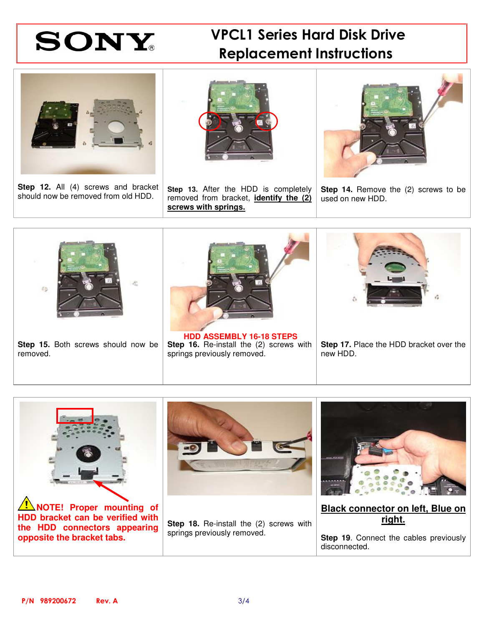# VPCL1 Series Hard Disk Drive Replacement Instructions



**Step 12.** All (4) screws and bracket should now be removed from old HDD.



**Step 13.** After the HDD is completely removed from bracket, **identify the (2) screws with springs.**



**Step 14.** Remove the (2) screws to be used on new HDD.



Step 15. Both screws should now be removed.

**Step 16.** Re-install the (2) screws with springs previously removed.

**Step 17.** Place the HDD bracket over the new HDD.